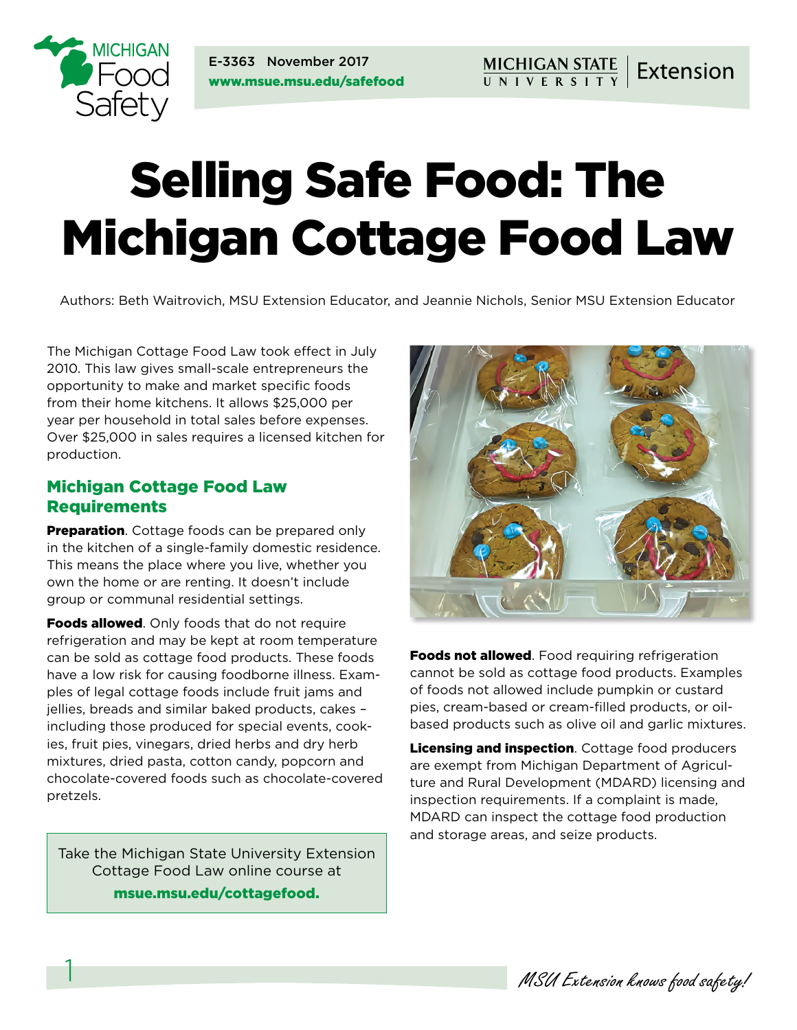

E-3363 November 2017 www.msue.msu.edu/safefood

# Selling Safe Food: The Michigan Cottage Food Law

Authors: Beth Waitrovich, MSU Extension Educator, and Jeannie Nichols, Senior MSU Extension Educator

The Michigan Cottage Food Law took effect in July 2010. This law gives small-scale entrepreneurs the opportunity to make and market specific foods from their home kitchens. It allows \$25,000 per year per household in total sales before expenses. Over \$25,000 in sales requires a licensed kitchen for production.

#### Michigan Cottage Food Law Requirements

**Preparation**. Cottage foods can be prepared only in the kitchen of a single-family domestic residence. This means the place where you live, whether you own the home or are renting. It doesn't include group or communal residential settings.

Foods allowed. Only foods that do not require refrigeration and may be kept at room temperature can be sold as cottage food products. These foods have a low risk for causing foodborne illness. Examples of legal cottage foods include fruit jams and jellies, breads and similar baked products, cakes – including those produced for special events, cookies, fruit pies, vinegars, dried herbs and dry herb mixtures, dried pasta, cotton candy, popcorn and chocolate-covered foods such as chocolate-covered pretzels.

Take the Michigan State University Extension Cottage Food Law online course at

[msue.msu.edu/cottagefood](http://msue.msu.edu/cottagefood).



Foods not allowed. Food requiring refrigeration cannot be sold as cottage food products. Examples of foods not allowed include pumpkin or custard pies, cream-based or cream-filled products, or oilbased products such as olive oil and garlic mixtures.

Licensing and inspection. Cottage food producers are exempt from Michigan Department of Agriculture and Rural Development (MDARD) licensing and inspection requirements. If a complaint is made, MDARD can inspect the cottage food production and storage areas, and seize products.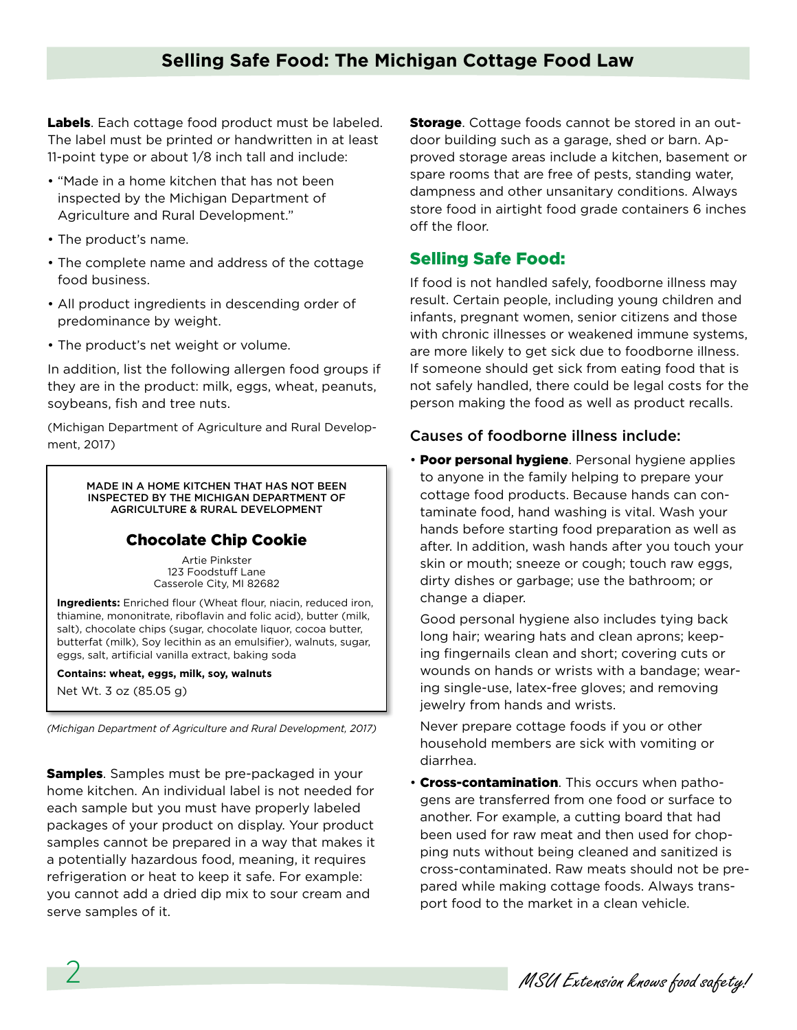Labels. Each cottage food product must be labeled. The label must be printed or handwritten in at least 11-point type or about 1/8 inch tall and include:

- "Made in a home kitchen that has not been inspected by the Michigan Department of Agriculture and Rural Development."
- The product's name.
- The complete name and address of the cottage food business.
- All product ingredients in descending order of predominance by weight.
- The product's net weight or volume.

In addition, list the following allergen food groups if they are in the product: milk, eggs, wheat, peanuts, soybeans, fish and tree nuts.

(Michigan Department of Agriculture and Rural Development, 2017)

> MADE IN A HOME KITCHEN THAT HAS NOT BEEN INSPECTED BY THE MICHIGAN DEPARTMENT OF AGRICULTURE & RURAL DEVELOPMENT

#### Chocolate Chip Cookie

Artie Pinkster 123 Foodstuff Lane Casserole City, MI 82682

**Ingredients:** Enriched flour (Wheat flour, niacin, reduced iron, thiamine, mononitrate, riboflavin and folic acid), butter (milk, salt), chocolate chips (sugar, chocolate liquor, cocoa butter, butterfat (milk), Soy lecithin as an emulsifier), walnuts, sugar, eggs, salt, artificial vanilla extract, baking soda

**Contains: wheat, eggs, milk, soy, walnuts**

Net Wt. 3 oz (85.05 g)

*(Michigan Department of Agriculture and Rural Development, 2017)*

**Samples**. Samples must be pre-packaged in your home kitchen. An individual label is not needed for each sample but you must have properly labeled packages of your product on display. Your product samples cannot be prepared in a way that makes it a potentially hazardous food, meaning, it requires refrigeration or heat to keep it safe. For example: you cannot add a dried dip mix to sour cream and serve samples of it.

**Storage**. Cottage foods cannot be stored in an outdoor building such as a garage, shed or barn. Approved storage areas include a kitchen, basement or spare rooms that are free of pests, standing water, dampness and other unsanitary conditions. Always store food in airtight food grade containers 6 inches off the floor.

## Selling Safe Food:

If food is not handled safely, foodborne illness may result. Certain people, including young children and infants, pregnant women, senior citizens and those with chronic illnesses or weakened immune systems, are more likely to get sick due to foodborne illness. If someone should get sick from eating food that is not safely handled, there could be legal costs for the person making the food as well as product recalls.

### Causes of foodborne illness include:

• Poor personal hygiene. Personal hygiene applies to anyone in the family helping to prepare your cottage food products. Because hands can contaminate food, hand washing is vital. Wash your hands before starting food preparation as well as after. In addition, wash hands after you touch your skin or mouth; sneeze or cough; touch raw eggs, dirty dishes or garbage; use the bathroom; or change a diaper.

Good personal hygiene also includes tying back long hair; wearing hats and clean aprons; keeping fingernails clean and short; covering cuts or wounds on hands or wrists with a bandage; wearing single-use, latex-free gloves; and removing jewelry from hands and wrists.

Never prepare cottage foods if you or other household members are sick with vomiting or diarrhea.

• Cross-contamination. This occurs when pathogens are transferred from one food or surface to another. For example, a cutting board that had been used for raw meat and then used for chopping nuts without being cleaned and sanitized is cross-contaminated. Raw meats should not be prepared while making cottage foods. Always transport food to the market in a clean vehicle.